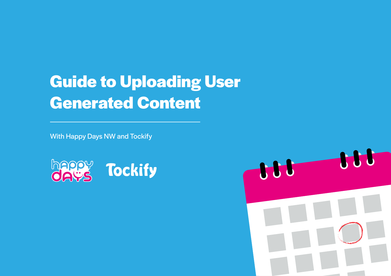# **Guide to Uploading User Generated Content**

With Happy Days NW and Tockify



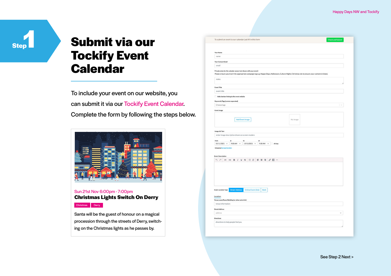### **Step**

## **Submit via our Tockify Event Calendar**

To include your event on our website, you can submit it via our Tockify Event Calendar. Complete the form by following the steps below.



#### Sun 21st Nov 6:00pm - 7:00pm **Christmas Lights Switch On Derry**

Christmas Derry

Santa will be the guest of honour on a magical procession through the streets of Derry, switching on the Christmas lights as he passes by.

| Your Name                                                                                                                                        |                                 |          |                |
|--------------------------------------------------------------------------------------------------------------------------------------------------|---------------------------------|----------|----------------|
| name                                                                                                                                             |                                 |          |                |
| <b>Your Contact Email</b>                                                                                                                        |                                 |          |                |
| email                                                                                                                                            |                                 |          |                |
| Private notes for the calendar owner (not shown with your event)                                                                                 |                                 |          |                |
| Please ensure you insert the appropriate campaign tag e.g. Happy Days, Halloween, Culture Night, Christmas etc to ensure your content is linked, |                                 |          |                |
| notes                                                                                                                                            |                                 |          |                |
|                                                                                                                                                  |                                 |          |                |
| <b>Event Title</b>                                                                                                                               |                                 |          |                |
| event title                                                                                                                                      |                                 |          |                |
| Add a button linking to the event website                                                                                                        |                                 |          |                |
| Keywords/Tags (comma separated)                                                                                                                  |                                 |          |                |
| Choose tags                                                                                                                                      |                                 |          | $\vert \times$ |
| <b>Event Image</b>                                                                                                                               |                                 |          |                |
|                                                                                                                                                  |                                 |          |                |
| <b>Add Event Image</b>                                                                                                                           |                                 | No Image |                |
|                                                                                                                                                  |                                 |          |                |
|                                                                                                                                                  |                                 |          |                |
| <b>Image Alt Text</b>                                                                                                                            |                                 |          |                |
| enter image description shown on screen readers                                                                                                  |                                 |          |                |
| from<br>at<br>to<br>$15/11/2021$ $\vee$<br>9:00 AM $\sim$<br>$15/11/2021~\vee$                                                                   | at<br>9:00 AM $\sim$<br>All day |          |                |
| timezone Europe/London                                                                                                                           |                                 |          |                |
|                                                                                                                                                  |                                 |          |                |
| <b>Event Description</b>                                                                                                                         |                                 |          |                |
| 67<br>油 日<br>H1<br>$H2$ <b>B</b> $I$ <b>U</b> $\div$                                                                                             | まま虫<br>$S$ $\Box$ -             |          |                |
|                                                                                                                                                  |                                 |          |                |
|                                                                                                                                                  |                                 |          |                |
|                                                                                                                                                  |                                 |          |                |
|                                                                                                                                                  |                                 |          |                |
|                                                                                                                                                  |                                 |          |                |
|                                                                                                                                                  |                                 |          |                |
| <b>Street Address</b><br><b>Online Event (link)</b><br><b>Event Location Type</b>                                                                | <b>Both</b>                     |          |                |
| Location                                                                                                                                         |                                 |          |                |
| Venue name/Room/Building (or other extra info)                                                                                                   |                                 |          |                |
| venue information                                                                                                                                |                                 |          |                |
| <b>Street Address</b>                                                                                                                            |                                 |          |                |
| address                                                                                                                                          |                                 |          | $\checkmark$   |
|                                                                                                                                                  |                                 |          |                |
|                                                                                                                                                  |                                 |          |                |
| Directions<br>directions to help people find you                                                                                                 |                                 |          |                |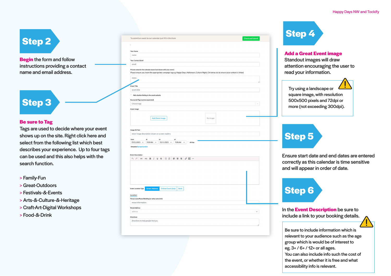## **Step 2**

**Begin** the form and follow instructions providing a contact name and email address.

### **Step 3**

#### **Be sure to Tag**

Tags are used to decide where your event shows up on the site. Right click here and select from the following list which best describes your experience. Up to four tags can be used and this also helps with the search function.

- > Family-Fun
- > Great-Outdoors
- > Festivals-&-Events
- > Arts-&-Culture-&-Heritage
- > Craft-Art-Digital Workshops
- > Food-&-Drink

| Your Name<br>name                                                                                                                                                                                                    |              |
|----------------------------------------------------------------------------------------------------------------------------------------------------------------------------------------------------------------------|--------------|
|                                                                                                                                                                                                                      |              |
| <b>Your Contact Email</b>                                                                                                                                                                                            |              |
| email                                                                                                                                                                                                                |              |
| Private notes for the calendar owner (not shown with your event)<br>Please ensure you insert the appropriate campaign tag e.g. Happy Days, Halloween, Culture Night, Christmas etc to ensure your content is linked, |              |
| notes                                                                                                                                                                                                                |              |
| <b>Event Title</b>                                                                                                                                                                                                   |              |
| event title                                                                                                                                                                                                          |              |
| Add a button linking to the event website                                                                                                                                                                            |              |
| Keywords/Tags (comma separated)                                                                                                                                                                                      |              |
| Choose tags                                                                                                                                                                                                          | 1 v          |
|                                                                                                                                                                                                                      |              |
| <b>Event Image</b>                                                                                                                                                                                                   |              |
|                                                                                                                                                                                                                      |              |
| <b>Add Event Image</b>                                                                                                                                                                                               | No Image     |
|                                                                                                                                                                                                                      |              |
| <b>Image Alt Text</b>                                                                                                                                                                                                |              |
| enter image description shown on screen readers                                                                                                                                                                      |              |
|                                                                                                                                                                                                                      |              |
| from<br>$\mathsf{at}$<br>to<br>at<br>$9:00$ AM $\sim$ $\Box$ All day<br>$15/11/2021$ $\vee$<br>9:00 AM $\sim$<br>$15/11/2021$ $\vee$                                                                                 |              |
| timezone Europe/London                                                                                                                                                                                               |              |
|                                                                                                                                                                                                                      |              |
| <b>Event Description</b>                                                                                                                                                                                             |              |
| $\begin{array}{rcl} \Xi & \Xi & \Xi & \Xi & \mathscr{S} & \Xi \end{array}$<br>57<br>H1 H2 $\mathsf{B}$ $I \subseteq \mathsf{S}$                                                                                      |              |
|                                                                                                                                                                                                                      |              |
|                                                                                                                                                                                                                      |              |
|                                                                                                                                                                                                                      |              |
|                                                                                                                                                                                                                      |              |
|                                                                                                                                                                                                                      |              |
|                                                                                                                                                                                                                      |              |
| <b>Event Location Type</b><br><b>Street Address</b><br><b>Online Event (link)</b><br>Both                                                                                                                            |              |
| Location                                                                                                                                                                                                             |              |
| Venue name/Room/Building (or other extra info)                                                                                                                                                                       |              |
| venue information                                                                                                                                                                                                    |              |
| <b>Street Address</b>                                                                                                                                                                                                |              |
| address                                                                                                                                                                                                              | $\checkmark$ |
|                                                                                                                                                                                                                      |              |
|                                                                                                                                                                                                                      |              |
| Directions                                                                                                                                                                                                           |              |
| directions to help people find you                                                                                                                                                                                   |              |



#### **Add a Great Event image**

Standout images will draw attention encouraging the user to read your information.

| e or |       |  |
|------|-------|--|
|      | ہ:+:۔ |  |

Try using a landscape square image, with resolution 500x500 pixels and 72dpi or more (not exceeding 300dpi).

## **Step 5**

Ensure start date and end dates are entered correctly as this calendar is time sensitive and will appear in order of date.

# **Step 6**

In the **Event Description** be sure to include a link to your booking details.

Be sure to include information which is relevant to your audience such as the age group which is would be of interest to eg. 3+ / 6+ / 12+ or all ages. You can also include info such the cost of the event, or whether it is free and what accessibility info is relevant.